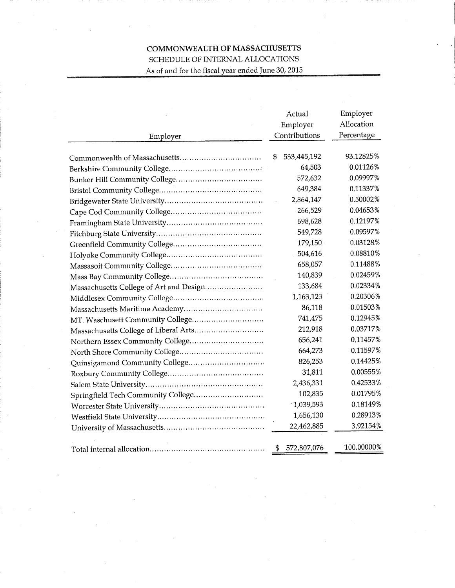## COMMONWEALTH OF MASSACHUSETTS SCHEDULE OF INTERNAL ALLOCATIONS As of and for the fiscal year ended June 30, 2015

|                                         | Actual              | Employer   |
|-----------------------------------------|---------------------|------------|
|                                         | Employer            | Allocation |
| Employer                                | Contributions       | Percentage |
|                                         | 533,445,192<br>\$   | 93.12825%  |
|                                         | 64,503              | 0.01126%   |
|                                         | 572,632             | 0.09997%   |
|                                         | 649,384             | 0.11337%   |
|                                         | 2,864,147           | 0.50002%   |
|                                         | 266,529             | 0.04653%   |
|                                         | 698,628             | 0.12197%   |
|                                         | 549,728             | 0.09597%   |
|                                         | 179,150             | 0.03128%   |
|                                         | 504,616             | 0.08810%   |
|                                         | 658,057             | 0.11488%   |
|                                         | 140,839             | 0.02459%   |
| Massachusetts College of Art and Design | 133,684             | 0.02334%   |
|                                         | 1,163,123           | 0.20306%   |
|                                         | 86,118              | 0.01503%   |
| MT. Waschusett Community College        | 741,475             | 0.12945%   |
|                                         | 212,918             | 0.03717%   |
|                                         | 656,241             | 0.11457%   |
|                                         | 664,273             | 0.11597%   |
|                                         | 826,253             | 0.14425%   |
|                                         | 31,811              | 0.00555%   |
|                                         | 2,436,331           | 0.42533%   |
|                                         | 102,835             | 0.01795%   |
|                                         | 1,039,593           | 0.18149%   |
|                                         | 1,656,130           | 0.28913%   |
|                                         | 22,462,885          | 3.92154%   |
|                                         | 572,807,076<br>- 56 | 100.00000% |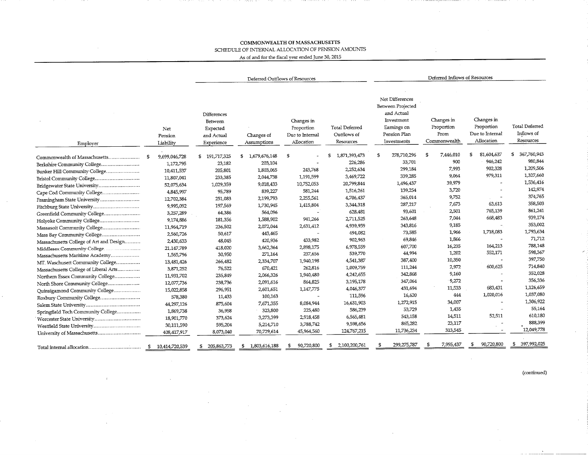## COMMONWEALTH OF MASSACHUSETTS SCHEDULE OF INTERNAL ALLOCATION OF PENSION AMOUNTS

 $\cdot$ 

As of and for the fiscal vear ended June 30, 2015

|                                         |                             | Deferred Outflows of Resources                                        |                           |                                                           | Deferred Inflows of Resources                     |                                                                                                                |                                                  |                                                           |                                           |
|-----------------------------------------|-----------------------------|-----------------------------------------------------------------------|---------------------------|-----------------------------------------------------------|---------------------------------------------------|----------------------------------------------------------------------------------------------------------------|--------------------------------------------------|-----------------------------------------------------------|-------------------------------------------|
| Employer                                | Net<br>Pension<br>Liability | Differences<br><b>Between</b><br>Expected<br>and Actual<br>Experience | Changes of<br>Assumptions | Changes in<br>Proportion<br>Due to Internal<br>Allocation | <b>Total Deferred</b><br>Outflows of<br>Resources | Net Differences<br>Between Projected<br>and Actual<br>Investment<br>Earnings on<br>Pension Plan<br>Investments | Changes in<br>Proportion<br>From<br>Commonwealth | Changes in<br>Proportion<br>Due to Internal<br>Allocation | Total Deferred<br>Inflows of<br>Resources |
| Commonwealth of Massachusetts           | 9,699,046,728<br>-5         | \$191,717,325                                                         | 1,679,676,148<br>S.       | \$                                                        | 1,871,393,473                                     | 278,710,296<br>\$                                                                                              | 7,446,010<br>\$                                  | 81,604,637<br>s                                           | 367.760,943<br>\$                         |
| Berkshire Community College             | 1,172,795                   | 23,182                                                                | 203,104                   |                                                           | 226,286                                           | 33,701                                                                                                         | 900                                              | 946,242                                                   | 980.844                                   |
| Bunker Hill Community College           | 10,411,537                  | 205,801                                                               | 1,803,065                 | 243,768                                                   | 2,252,634                                         | 299,184                                                                                                        | 7,993                                            | 902,328                                                   | 1,209,506                                 |
| Bristol Community College               | 11,807,041                  | 233,385                                                               | 2,044,738                 | 1,191,599                                                 | 3,469,722                                         | 339,285                                                                                                        | 9,064                                            | 979,311                                                   | 1,327,660                                 |
| Bridgewater State University            | 52,075,634                  | 1,029,359                                                             | 9,018,433                 | 10,752,053                                                | 20,799,844                                        | 1,496,437                                                                                                      | 39,979                                           |                                                           | 1,536,416                                 |
| Cape Cod Community College              | 4,845,997                   | 95,789                                                                | 839,227                   | 581,244                                                   | 1,516,261                                         | 139,254                                                                                                        | 3,720                                            |                                                           | 142,974                                   |
| Framingham State University             | 12,702,384                  | 251,083                                                               | 2,199,793                 | 2,255,561                                                 | 4,706,437                                         | 365,014                                                                                                        | 9,752                                            |                                                           | 374,765                                   |
| Fitchburg State University              | 9,995,092                   | 197,569                                                               | 1,730,945                 | 1,415,804                                                 | 3,344,318                                         | 287,217                                                                                                        | 7,673                                            | 63,613                                                    | 358,503                                   |
| Greenfield Community College            | 3,257,289                   | 64,386                                                                | 564,096                   |                                                           | 628,481                                           | 93,601                                                                                                         | 2,501                                            | 765,139                                                   | 861,241                                   |
| Holyoke Community College               | 9,174,886                   | 181,356                                                               | 1,588,902                 | 941,266                                                   | 2,711,525                                         | 263,648                                                                                                        | 7,044                                            | 668,483                                                   | 939,174                                   |
| Massasoit Community College             | 11,964,719                  | 236,502                                                               | 2,072,044                 | 2,631,412                                                 | 4,939,959                                         | 343,816                                                                                                        | 9,185                                            |                                                           | 353,002                                   |
| Mass Bay Community College              | 2,560,726                   | 50,617                                                                | 443,465                   |                                                           | 494,082                                           | 73,585                                                                                                         | 1,966                                            | 1,718,083                                                 | 1,793,634                                 |
| Massachusetts College of Art and Design | 2,430,633                   | 48,045                                                                | 420,936                   | 433,982                                                   | 902,963                                           | 69,846                                                                                                         | 1,866                                            |                                                           | 71,712                                    |
| Middlesex Community College             | 21,147,789                  | 418,020                                                               | 3,662,364                 | 2,898,175                                                 | 6,978,559                                         | 607,700                                                                                                        | 16,235                                           | 164,213                                                   | 788,148                                   |
| Massachusetts Maritime Academy          | 1,565,796                   | 30,950                                                                | 271,164                   | 237,656                                                   | 539,770                                           | 44,994                                                                                                         | 1,202                                            | 552,171                                                   | 598,367                                   |
| MT. Waschusett Community College        | 13,481,426                  | 266,482                                                               | 2,334,707                 | 1,940,198                                                 | 4,541,387                                         | 387,400                                                                                                        | 10,350                                           |                                                           | 397,750                                   |
| Massachusetts College of Liberal Arts   | 3,871,252                   | 76,522                                                                | 670,421                   | 262,816                                                   | 1,009,759                                         | 111,244                                                                                                        | 2,972                                            | 600,625                                                   | 714,840                                   |
| Northern Essex Community College        | 11,931,702                  | 235,849                                                               | 2,066,326                 | 1,940,480                                                 | 4,242,655                                         | 342,868                                                                                                        | 9,160                                            |                                                           | 352,028                                   |
| North Shore Community College           | 12,077,736                  | 238,736                                                               | 2,091,616                 | 864,825                                                   | 3,195,178                                         | 347,064                                                                                                        | 9,272                                            |                                                           | 356,336                                   |
| Quinsigamond Community College          | 15,022,858                  | 296,951                                                               | 2,601,651                 | 1,147,775                                                 | 4,046,377                                         | 431,694                                                                                                        | 11,533                                           | 683,431                                                   | 1,126,659                                 |
| Roxbury Community College               | 578,380                     | 11,433                                                                | 100,163                   |                                                           | 111,596                                           | 16,620                                                                                                         | 444                                              | 1,020,016                                                 | 1,037,080                                 |
|                                         | 44,297,126                  | 875,604                                                               | 7,671,355                 | 8,084,944                                                 | 16,631,903                                        | 1,272,915                                                                                                      | 34,007                                           |                                                           | 1,306,922                                 |
| Springfield Tech Community College      | 1,869,738                   | 36,958                                                                | 323,800                   | 225,480                                                   | 586,239                                           | 53,729                                                                                                         | 1,435                                            |                                                           | 55,164                                    |
| Worcester State University              | 18,901,770                  | 373,624                                                               | 3,273,399                 | 2,918,458                                                 | 6,565,481                                         | 543,158                                                                                                        | 14,511                                           | 52,511                                                    | 610,180                                   |
| Westfield State University              | 30,111,590                  | 595,204                                                               | 5,214,710                 | 3,788,742                                                 | 9,598,656                                         | 865,282                                                                                                        | 23,117                                           |                                                           | 888,399                                   |
| University of Massachusetts             | 408,417,917                 | 8,073,040                                                             | 70,729,614                | 45,964,560                                                | 124,767,215                                       | 11,736,234                                                                                                     | 313,545                                          |                                                           | 12,049,778                                |
|                                         | 10,414,720,539<br>- 5       | 205,863,773                                                           | 1,803,616,188<br>s.       | 90,720,800<br>S.                                          | 2,100,200,761<br>\$                               | 299,275,787                                                                                                    | 7,995,437<br>£                                   | 90,720,800<br>£                                           | 397,992,025<br>S                          |

(continued)